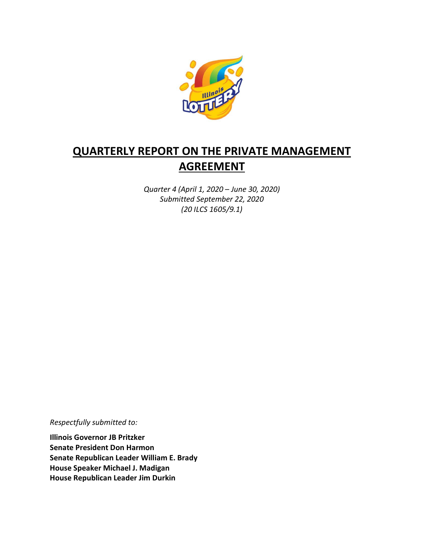

# **QUARTERLY REPORT ON THE PRIVATE MANAGEMENT AGREEMENT**

*Quarter 4 (April 1, 2020 – June 30, 2020) Submitted September 22, 2020 (20 ILCS 1605/9.1)*

*Respectfully submitted to:* 

**Illinois Governor JB Pritzker Senate President Don Harmon Senate Republican Leader William E. Brady House Speaker Michael J. Madigan House Republican Leader Jim Durkin**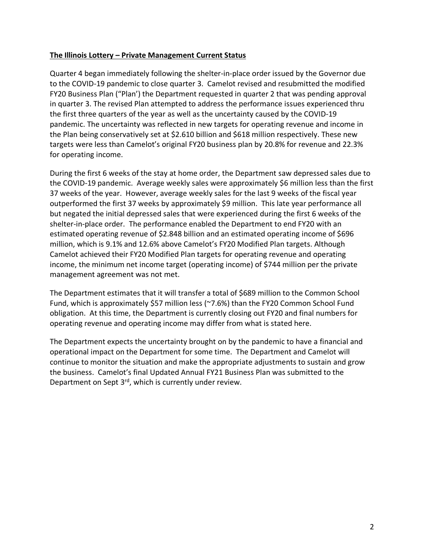#### **The Illinois Lottery – Private Management Current Status**

Quarter 4 began immediately following the shelter-in-place order issued by the Governor due to the COVID-19 pandemic to close quarter 3. Camelot revised and resubmitted the modified FY20 Business Plan ("Plan') the Department requested in quarter 2 that was pending approval in quarter 3. The revised Plan attempted to address the performance issues experienced thru the first three quarters of the year as well as the uncertainty caused by the COVID-19 pandemic. The uncertainty was reflected in new targets for operating revenue and income in the Plan being conservatively set at \$2.610 billion and \$618 million respectively. These new targets were less than Camelot's original FY20 business plan by 20.8% for revenue and 22.3% for operating income.

During the first 6 weeks of the stay at home order, the Department saw depressed sales due to the COVID-19 pandemic. Average weekly sales were approximately \$6 million less than the first 37 weeks of the year. However, average weekly sales for the last 9 weeks of the fiscal year outperformed the first 37 weeks by approximately \$9 million. This late year performance all but negated the initial depressed sales that were experienced during the first 6 weeks of the shelter-in-place order. The performance enabled the Department to end FY20 with an estimated operating revenue of \$2.848 billion and an estimated operating income of \$696 million, which is 9.1% and 12.6% above Camelot's FY20 Modified Plan targets. Although Camelot achieved their FY20 Modified Plan targets for operating revenue and operating income, the minimum net income target (operating income) of \$744 million per the private management agreement was not met.

The Department estimates that it will transfer a total of \$689 million to the Common School Fund, which is approximately \$57 million less (~7.6%) than the FY20 Common School Fund obligation. At this time, the Department is currently closing out FY20 and final numbers for operating revenue and operating income may differ from what is stated here.

The Department expects the uncertainty brought on by the pandemic to have a financial and operational impact on the Department for some time. The Department and Camelot will continue to monitor the situation and make the appropriate adjustments to sustain and grow the business. Camelot's final Updated Annual FY21 Business Plan was submitted to the Department on Sept 3<sup>rd</sup>, which is currently under review.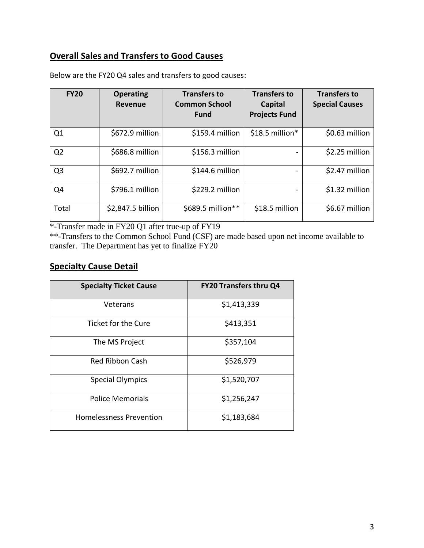## **Overall Sales and Transfers to Good Causes**

| <b>FY20</b>    | <b>Operating</b><br>Revenue | <b>Transfers to</b><br><b>Common School</b><br><b>Fund</b> | <b>Transfers to</b><br>Capital<br><b>Projects Fund</b> | <b>Transfers to</b><br><b>Special Causes</b> |
|----------------|-----------------------------|------------------------------------------------------------|--------------------------------------------------------|----------------------------------------------|
| Q1             | \$672.9 million             | \$159.4 million                                            | $$18.5$ million*                                       | \$0.63 million                               |
| Q <sub>2</sub> | \$686.8 million             | \$156.3 million                                            |                                                        | \$2.25 million                               |
| Q <sub>3</sub> | \$692.7 million             | \$144.6 million                                            |                                                        | \$2.47 million                               |
| Q4             | \$796.1 million             | \$229.2 million                                            |                                                        | \$1.32 million                               |
| Total          | \$2,847.5 billion           | \$689.5 million**                                          | \$18.5 million                                         | \$6.67 million                               |

Below are the FY20 Q4 sales and transfers to good causes:

\*-Transfer made in FY20 Q1 after true-up of FY19

\*\*-Transfers to the Common School Fund (CSF) are made based upon net income available to transfer. The Department has yet to finalize FY20

### **Specialty Cause Detail**

| <b>Specialty Ticket Cause</b>  | <b>FY20 Transfers thru Q4</b> |  |
|--------------------------------|-------------------------------|--|
| Veterans                       | \$1,413,339                   |  |
| Ticket for the Cure            | \$413,351                     |  |
| The MS Project                 | \$357,104                     |  |
| Red Ribbon Cash                | \$526,979                     |  |
| <b>Special Olympics</b>        | \$1,520,707                   |  |
| Police Memorials               | \$1,256,247                   |  |
| <b>Homelessness Prevention</b> | \$1,183,684                   |  |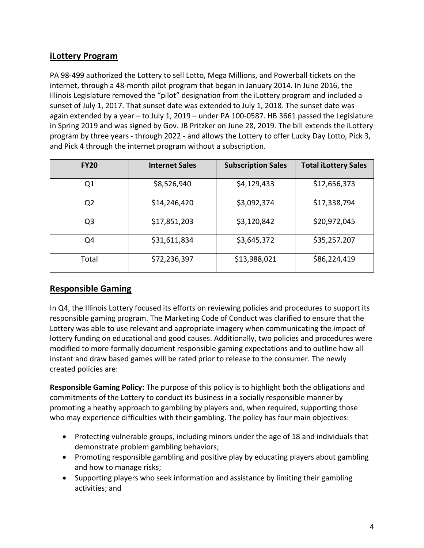## **iLottery Program**

PA 98-499 authorized the Lottery to sell Lotto, Mega Millions, and Powerball tickets on the internet, through a 48-month pilot program that began in January 2014. In June 2016, the Illinois Legislature removed the "pilot" designation from the iLottery program and included a sunset of July 1, 2017. That sunset date was extended to July 1, 2018. The sunset date was again extended by a year – to July 1, 2019 – under PA 100-0587. HB 3661 passed the Legislature in Spring 2019 and was signed by Gov. JB Pritzker on June 28, 2019. The bill extends the iLottery program by three years - through 2022 - and allows the Lottery to offer Lucky Day Lotto, Pick 3, and Pick 4 through the internet program without a subscription.

| <b>FY20</b>    | <b>Internet Sales</b> | <b>Subscription Sales</b> | <b>Total iLottery Sales</b> |
|----------------|-----------------------|---------------------------|-----------------------------|
| Q1             | \$8,526,940           | \$4,129,433               | \$12,656,373                |
| Q <sub>2</sub> | \$14,246,420          | \$3,092,374               | \$17,338,794                |
| Q3             | \$17,851,203          | \$3,120,842               | \$20,972,045                |
| Q4             | \$31,611,834          | \$3,645,372               | \$35,257,207                |
| Total          | \$72,236,397          | \$13,988,021              | \$86,224,419                |

## **Responsible Gaming**

In Q4, the Illinois Lottery focused its efforts on reviewing policies and procedures to support its responsible gaming program. The Marketing Code of Conduct was clarified to ensure that the Lottery was able to use relevant and appropriate imagery when communicating the impact of lottery funding on educational and good causes. Additionally, two policies and procedures were modified to more formally document responsible gaming expectations and to outline how all instant and draw based games will be rated prior to release to the consumer. The newly created policies are:

**Responsible Gaming Policy:** The purpose of this policy is to highlight both the obligations and commitments of the Lottery to conduct its business in a socially responsible manner by promoting a heathy approach to gambling by players and, when required, supporting those who may experience difficulties with their gambling. The policy has four main objectives:

- Protecting vulnerable groups, including minors under the age of 18 and individuals that demonstrate problem gambling behaviors;
- Promoting responsible gambling and positive play by educating players about gambling and how to manage risks;
- Supporting players who seek information and assistance by limiting their gambling activities; and